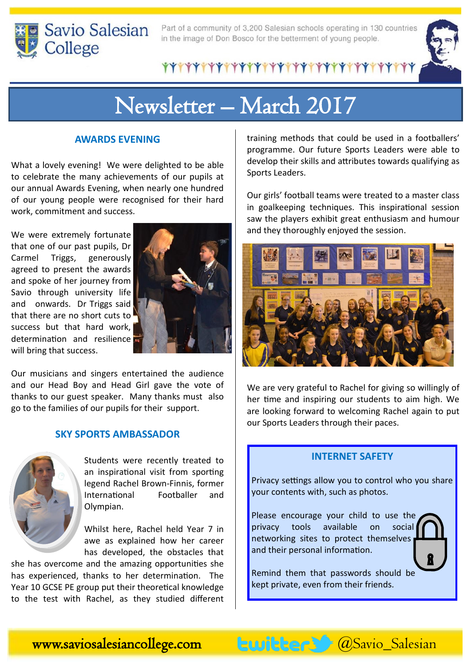

Part of a community of 3,200 Salesian schools operating in 130 countries in the image of Don Bosco for the betterment of young people.



# \*\*\*\*\*\*\*\*\*\*\*\*\*\*\*\*\*\*\*\*\*\*\*\*\*\*\*\*\*\*\*\*

# Newsletter – March 2017

# **AWARDS EVENING**

What a lovely evening! We were delighted to be able to celebrate the many achievements of our pupils at our annual Awards Evening, when nearly one hundred of our young people were recognised for their hard work, commitment and success.

We were extremely fortunate that one of our past pupils, Dr Carmel Triggs, generously agreed to present the awards and spoke of her journey from Savio through university life and onwards. Dr Triggs said that there are no short cuts to success but that hard work, determination and resilience will bring that success.



Our musicians and singers entertained the audience and our Head Boy and Head Girl gave the vote of thanks to our guest speaker. Many thanks must also go to the families of our pupils for their support.

# **SKY SPORTS AMBASSADOR**



Students were recently treated to an inspirational visit from sporting legend Rachel Brown-Finnis, former International Footballer and Olympian.

Whilst here, Rachel held Year 7 in awe as explained how her career has developed, the obstacles that

she has overcome and the amazing opportunities she has experienced, thanks to her determination. The Year 10 GCSE PE group put their theoretical knowledge to the test with Rachel, as they studied different training methods that could be used in a footballers' programme. Our future Sports Leaders were able to develop their skills and attributes towards qualifying as Sports Leaders.

Our girls' football teams were treated to a master class in goalkeeping techniques. This inspirational session saw the players exhibit great enthusiasm and humour and they thoroughly enjoyed the session.



We are very grateful to Rachel for giving so willingly of her time and inspiring our students to aim high. We are looking forward to welcoming Rachel again to put our Sports Leaders through their paces.

### **INTERNET SAFETY**

Privacy settings allow you to control who you share your contents with, such as photos.

Please encourage your child to use the privacy tools available on social networking sites to protect themselves and their personal information.

Remind them that passwords should be kept private, even from their friends.